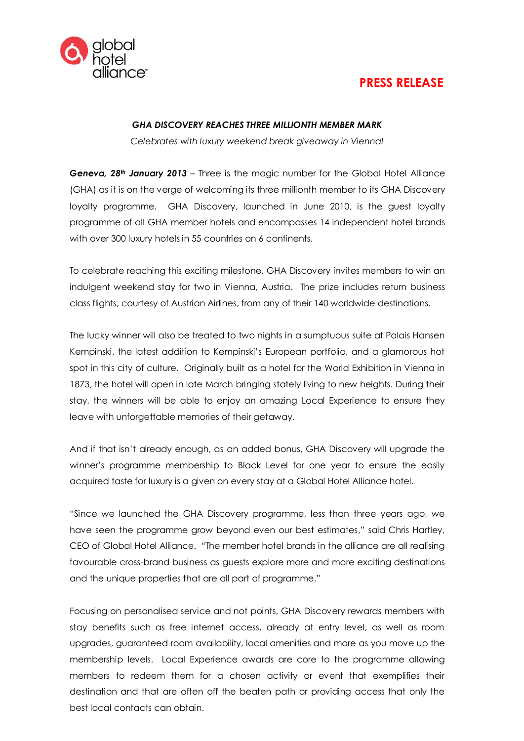

## **PRESS RELEASE**

## *GHA DISCOVERY REACHES THREE MILLIONTH MEMBER MARK*

*Celebrates with luxury weekend break giveaway in Vienna!*

*Geneva, 28th January 2013* – Three is the magic number for the Global Hotel Alliance (GHA) as it is on the verge of welcoming its three millionth member to its GHA Discovery loyalty programme. GHA Discovery, launched in June 2010, is the guest loyalty programme of all GHA member hotels and encompasses 14 independent hotel brands with over 300 luxury hotels in 55 countries on 6 continents.

To celebrate reaching this exciting milestone, GHA Discovery invites members to win an indulgent weekend stay for two in Vienna, Austria. The prize includes return business class flights, courtesy of Austrian Airlines, from any of their 140 worldwide destinations.

The lucky winner will also be treated to two nights in a sumptuous suite at Palais Hansen Kempinski, the latest addition to Kempinski's European portfolio, and a glamorous hot spot in this city of culture. Originally built as a hotel for the World Exhibition in Vienna in 1873, the hotel will open in late March bringing stately living to new heights. During their stay, the winners will be able to enjoy an amazing Local Experience to ensure they leave with unforgettable memories of their getaway.

And if that isn't already enough, as an added bonus, GHA Discovery will upgrade the winner's programme membership to Black Level for one year to ensure the easily acquired taste for luxury is a given on every stay at a Global Hotel Alliance hotel.

"Since we launched the GHA Discovery programme, less than three years ago, we have seen the programme grow beyond even our best estimates," said Chris Hartley, CEO of Global Hotel Alliance. "The member hotel brands in the alliance are all realising favourable cross-brand business as guests explore more and more exciting destinations and the unique properties that are all part of programme."

Focusing on personalised service and not points, GHA Discovery rewards members with stay benefits such as free internet access, already at entry level, as well as room upgrades, guaranteed room availability, local amenities and more as you move up the membership levels. Local Experience awards are core to the programme allowing members to redeem them for a chosen activity or event that exemplifies their destination and that are often off the beaten path or providing access that only the best local contacts can obtain.